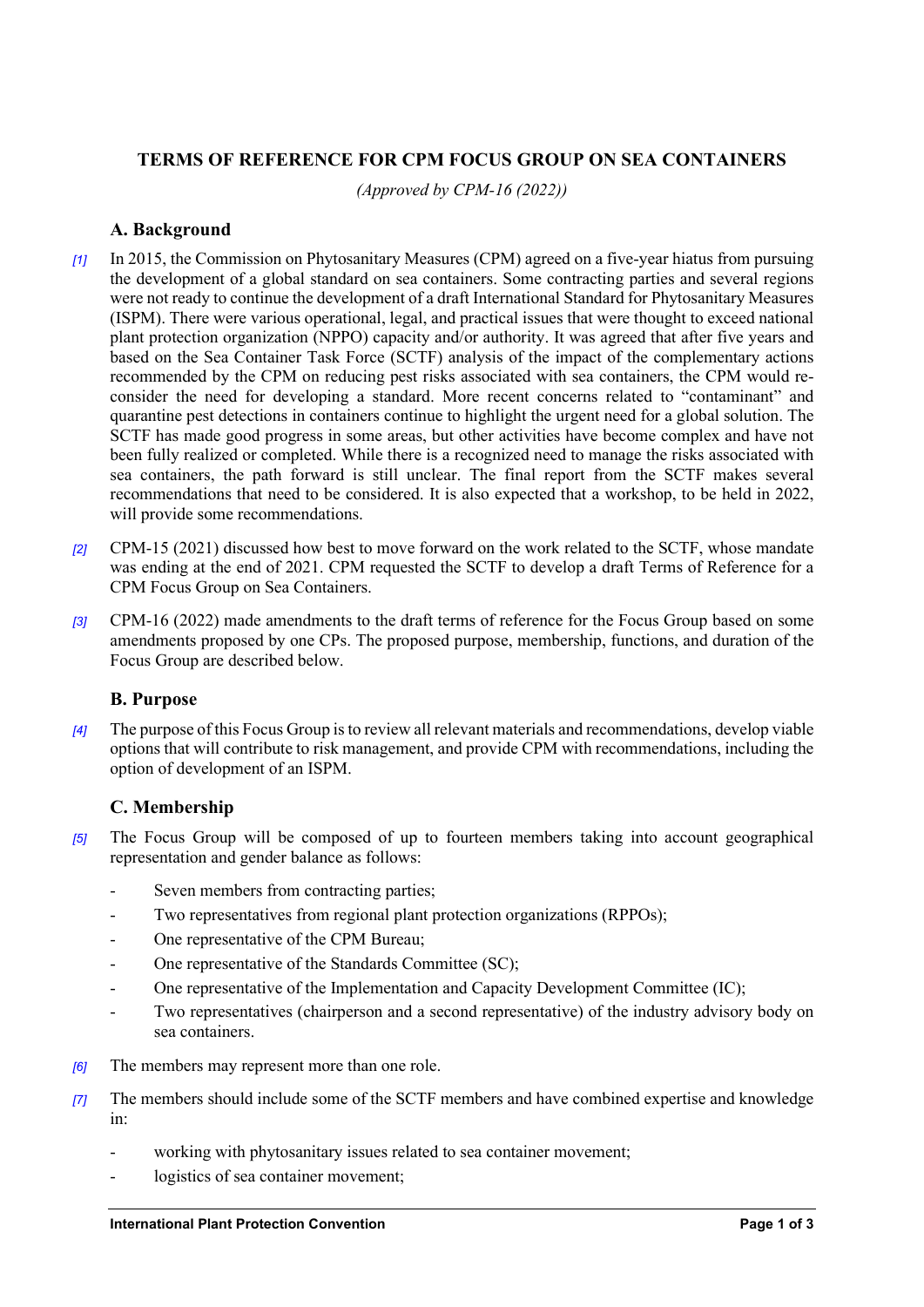# **TERMS OF REFERENCE FOR CPM FOCUS GROUP ON SEA CONTAINERS**

*(Approved by CPM-16 (2022))*

## **A. Background**

- *[1]* In 2015, the Commission on Phytosanitary Measures (CPM) agreed on a five-year hiatus from pursuing the development of a global standard on sea containers. Some contracting parties and several regions were not ready to continue the development of a draft International Standard for Phytosanitary Measures (ISPM). There were various operational, legal, and practical issues that were thought to exceed national plant protection organization (NPPO) capacity and/or authority. It was agreed that after five years and based on the Sea Container Task Force (SCTF) analysis of the impact of the complementary actions recommended by the CPM on reducing pest risks associated with sea containers, the CPM would reconsider the need for developing a standard. More recent concerns related to "contaminant" and quarantine pest detections in containers continue to highlight the urgent need for a global solution. The SCTF has made good progress in some areas, but other activities have become complex and have not been fully realized or completed. While there is a recognized need to manage the risks associated with sea containers, the path forward is still unclear. The final report from the SCTF makes several recommendations that need to be considered. It is also expected that a workshop, to be held in 2022, will provide some recommendations.
- *[2]* CPM-15 (2021) discussed how best to move forward on the work related to the SCTF, whose mandate was ending at the end of 2021. CPM requested the SCTF to develop a draft Terms of Reference for a CPM Focus Group on Sea Containers.
- *[3]* CPM-16 (2022) made amendments to the draft terms of reference for the Focus Group based on some amendments proposed by one CPs. The proposed purpose, membership, functions, and duration of the Focus Group are described below.

## **B. Purpose**

*[4]* The purpose of this Focus Group is to review all relevant materials and recommendations, develop viable options that will contribute to risk management, and provide CPM with recommendations, including the option of development of an ISPM.

# **C. Membership**

- *[5]* The Focus Group will be composed of up to fourteen members taking into account geographical representation and gender balance as follows:
	- Seven members from contracting parties;
	- Two representatives from regional plant protection organizations (RPPOs);
	- One representative of the CPM Bureau;
	- One representative of the Standards Committee (SC);
	- One representative of the Implementation and Capacity Development Committee (IC);
	- Two representatives (chairperson and a second representative) of the industry advisory body on sea containers.
- *[6]* The members may represent more than one role.
- *[7]* The members should include some of the SCTF members and have combined expertise and knowledge in:
	- working with phytosanitary issues related to sea container movement;
	- logistics of sea container movement;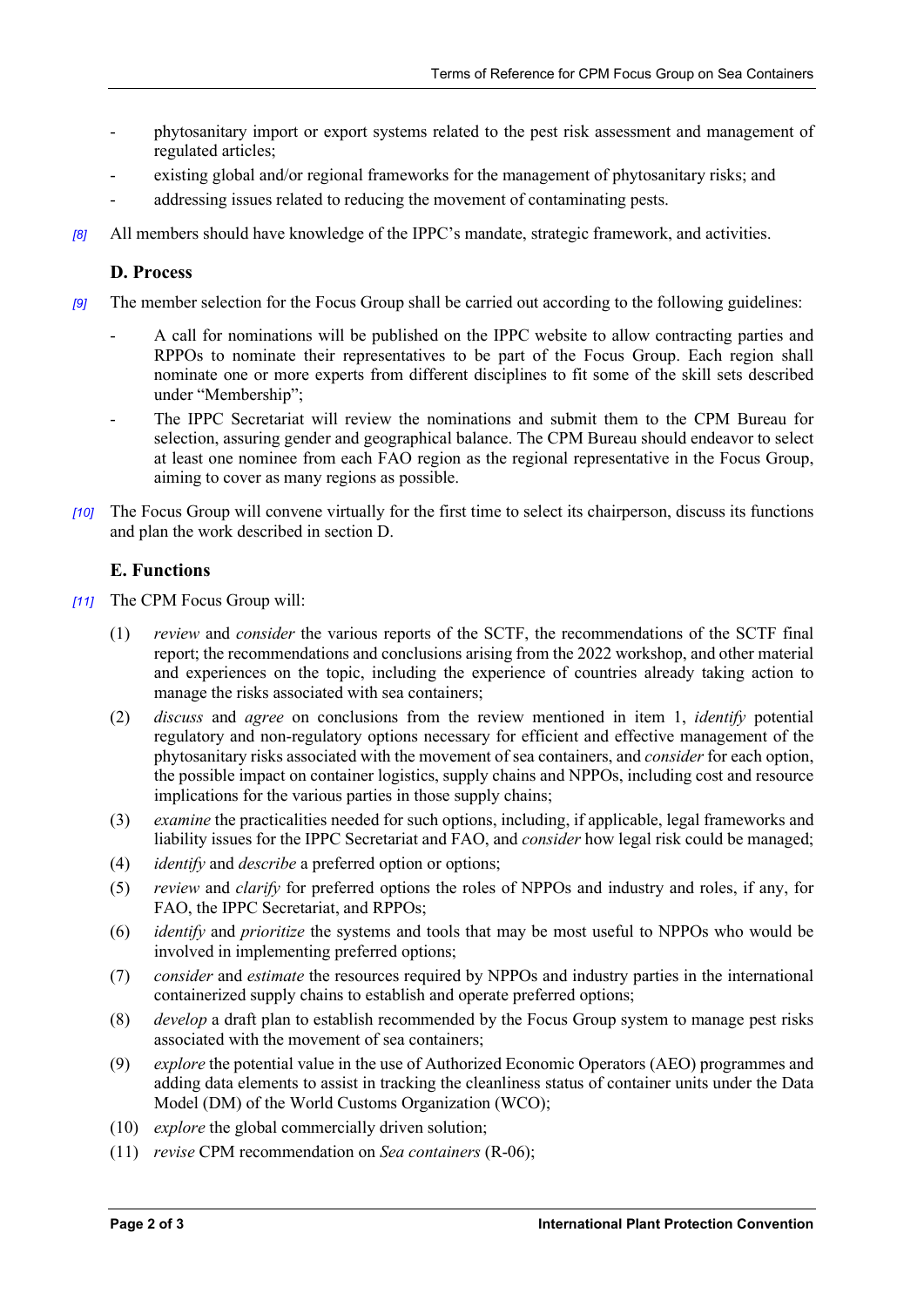- phytosanitary import or export systems related to the pest risk assessment and management of regulated articles;
- existing global and/or regional frameworks for the management of phytosanitary risks; and
- addressing issues related to reducing the movement of contaminating pests.
- *[8]* All members should have knowledge of the IPPC's mandate, strategic framework, and activities.

### **D. Process**

- *[9]* The member selection for the Focus Group shall be carried out according to the following guidelines:
	- A call for nominations will be published on the IPPC website to allow contracting parties and RPPOs to nominate their representatives to be part of the Focus Group. Each region shall nominate one or more experts from different disciplines to fit some of the skill sets described under "Membership";
	- The IPPC Secretariat will review the nominations and submit them to the CPM Bureau for selection, assuring gender and geographical balance. The CPM Bureau should endeavor to select at least one nominee from each FAO region as the regional representative in the Focus Group, aiming to cover as many regions as possible.
- *[10]* The Focus Group will convene virtually for the first time to select its chairperson, discuss its functions and plan the work described in section D.

## **E. Functions**

- *[11]* The CPM Focus Group will:
	- (1) *review* and *consider* the various reports of the SCTF, the recommendations of the SCTF final report; the recommendations and conclusions arising from the 2022 workshop, and other material and experiences on the topic, including the experience of countries already taking action to manage the risks associated with sea containers;
	- (2) *discuss* and *agree* on conclusions from the review mentioned in item 1, *identify* potential regulatory and non-regulatory options necessary for efficient and effective management of the phytosanitary risks associated with the movement of sea containers, and *consider* for each option, the possible impact on container logistics, supply chains and NPPOs, including cost and resource implications for the various parties in those supply chains;
	- (3) *examine* the practicalities needed for such options, including, if applicable, legal frameworks and liability issues for the IPPC Secretariat and FAO, and *consider* how legal risk could be managed;
	- (4) *identify* and *describe* a preferred option or options;
	- (5) *review* and *clarify* for preferred options the roles of NPPOs and industry and roles, if any, for FAO, the IPPC Secretariat, and RPPOs;
	- (6) *identify* and *prioritize* the systems and tools that may be most useful to NPPOs who would be involved in implementing preferred options;
	- (7) *consider* and *estimate* the resources required by NPPOs and industry parties in the international containerized supply chains to establish and operate preferred options;
	- (8) *develop* a draft plan to establish recommended by the Focus Group system to manage pest risks associated with the movement of sea containers;
	- (9) *explore* the potential value in the use of Authorized Economic Operators (AEO) programmes and adding data elements to assist in tracking the cleanliness status of container units under the Data Model (DM) of the World Customs Organization (WCO);
	- (10) *explore* the global commercially driven solution;
	- (11) *revise* CPM recommendation on *Sea containers* (R-06);